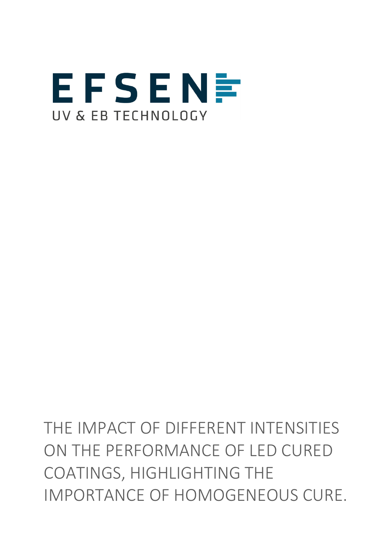

THE IMPACT OF DIFFERENT INTENSITIES ON THE PERFORMANCE OF LED CURED COATINGS, HIGHLIGHTING THE IMPORTANCE OF HOMOGENEOUS CURE.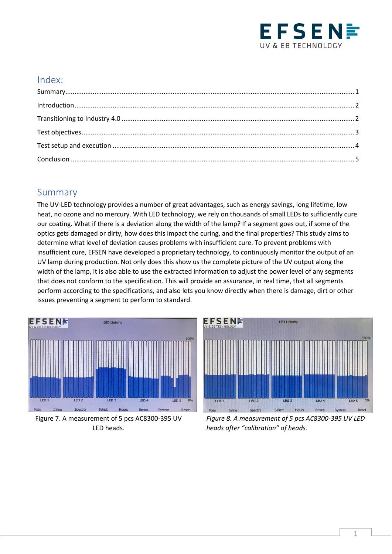

#### Index:

#### <span id="page-1-0"></span>Summary

The UV-LED technology provides a number of great advantages, such as energy savings, long lifetime, low heat, no ozone and no mercury. With LED technology, we rely on thousands of small LEDs to sufficiently cure our coating. What if there is a deviation along the width of the lamp? If a segment goes out, if some of the optics gets damaged or dirty, how does this impact the curing, and the final properties? This study aims to determine what level of deviation causes problems with insufficient cure. To prevent problems with insufficient cure, EFSEN have developed a proprietary technology, to continuously monitor the output of an UV lamp during production. Not only does this show us the complete picture of the UV output along the width of the lamp, it is also able to use the extracted information to adjust the power level of any segments that does not conform to the specification. This will provide an assurance, in real time, that all segments perform according to the specifications, and also lets you know directly when there is damage, dirt or other issues preventing a segment to perform to standard.



Figure 7. A measurement of 5 pcs AC8300-395 UV LED heads.



*Figure 8. A measurement of 5 pcs AC8300-395 UV LED heads after "calibration" of heads.*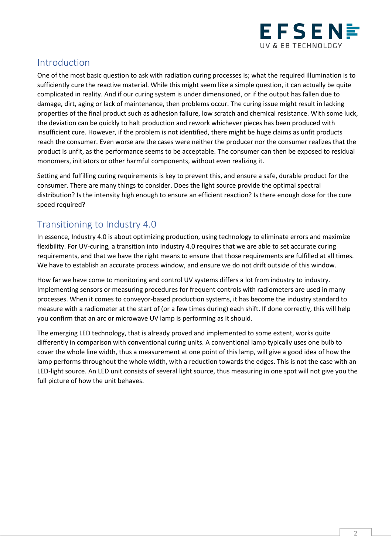

### <span id="page-2-0"></span>Introduction

One of the most basic question to ask with radiation curing processes is; what the required illumination is to sufficiently cure the reactive material. While this might seem like a simple question, it can actually be quite complicated in reality. And if our curing system is under dimensioned, or if the output has fallen due to damage, dirt, aging or lack of maintenance, then problems occur. The curing issue might result in lacking properties of the final product such as adhesion failure, low scratch and chemical resistance. With some luck, the deviation can be quickly to halt production and rework whichever pieces has been produced with insufficient cure. However, if the problem is not identified, there might be huge claims as unfit products reach the consumer. Even worse are the cases were neither the producer nor the consumer realizes that the product is unfit, as the performance seems to be acceptable. The consumer can then be exposed to residual monomers, initiators or other harmful components, without even realizing it.

Setting and fulfilling curing requirements is key to prevent this, and ensure a safe, durable product for the consumer. There are many things to consider. Does the light source provide the optimal spectral distribution? Is the intensity high enough to ensure an efficient reaction? Is there enough dose for the cure speed required?

# <span id="page-2-1"></span>Transitioning to Industry 4.0

In essence, Industry 4.0 is about optimizing production, using technology to eliminate errors and maximize flexibility. For UV-curing, a transition into Industry 4.0 requires that we are able to set accurate curing requirements, and that we have the right means to ensure that those requirements are fulfilled at all times. We have to establish an accurate process window, and ensure we do not drift outside of this window.

How far we have come to monitoring and control UV systems differs a lot from industry to industry. Implementing sensors or measuring procedures for frequent controls with radiometers are used in many processes. When it comes to conveyor-based production systems, it has become the industry standard to measure with a radiometer at the start of (or a few times during) each shift. If done correctly, this will help you confirm that an arc or microwave UV lamp is performing as it should.

The emerging LED technology, that is already proved and implemented to some extent, works quite differently in comparison with conventional curing units. A conventional lamp typically uses one bulb to cover the whole line width, thus a measurement at one point of this lamp, will give a good idea of how the lamp performs throughout the whole width, with a reduction towards the edges. This is not the case with an LED-light source. An LED unit consists of several light source, thus measuring in one spot will not give you the full picture of how the unit behaves.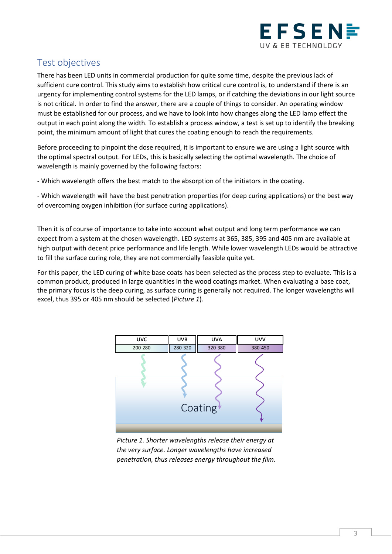

# <span id="page-3-0"></span>Test objectives

There has been LED units in commercial production for quite some time, despite the previous lack of sufficient cure control. This study aims to establish how critical cure control is, to understand if there is an urgency for implementing control systems for the LED lamps, or if catching the deviations in our light source is not critical. In order to find the answer, there are a couple of things to consider. An operating window must be established for our process, and we have to look into how changes along the LED lamp effect the output in each point along the width. To establish a process window, a test is set up to identify the breaking point, the minimum amount of light that cures the coating enough to reach the requirements.

Before proceeding to pinpoint the dose required, it is important to ensure we are using a light source with the optimal spectral output. For LEDs, this is basically selecting the optimal wavelength. The choice of wavelength is mainly governed by the following factors:

- Which wavelength offers the best match to the absorption of the initiators in the coating.

- Which wavelength will have the best penetration properties (for deep curing applications) or the best way of overcoming oxygen inhibition (for surface curing applications).

Then it is of course of importance to take into account what output and long term performance we can expect from a system at the chosen wavelength. LED systems at 365, 385, 395 and 405 nm are available at high output with decent price performance and life length. While lower wavelength LEDs would be attractive to fill the surface curing role, they are not commercially feasible quite yet.

For this paper, the LED curing of white base coats has been selected as the process step to evaluate. This is a common product, produced in large quantities in the wood coatings market. When evaluating a base coat, the primary focus is the deep curing, as surface curing is generally not required. The longer wavelengths will excel, thus 395 or 405 nm should be selected (*Picture 1*).



*Picture 1. Shorter wavelengths release their energy at the very surface. Longer wavelengths have increased penetration, thus releases energy throughout the film.*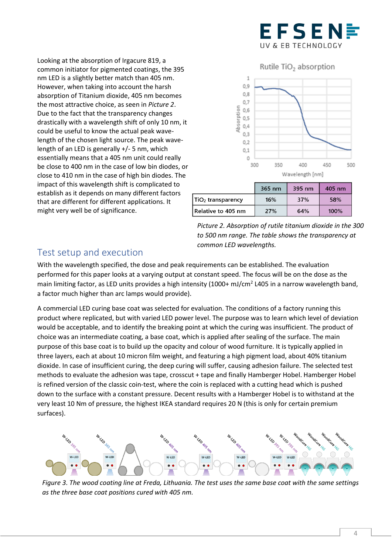

Looking at the absorption of Irgacure 819, a common initiator for pigmented coatings, the 395 nm LED is a slightly better match than 405 nm. However, when taking into account the harsh absorption of Titanium dioxide, 405 nm becomes the most attractive choice, as seen in *Picture 2*. Due to the fact that the transparency changes drastically with a wavelength shift of only 10 nm, it could be useful to know the actual peak wavelength of the chosen light source. The peak wavelength of an LED is generally +/- 5 nm, which essentially means that a 405 nm unit could really be close to 400 nm in the case of low bin diodes, or close to 410 nm in the case of high bin diodes. The impact of this wavelength shift is complicated to establish as it depends on many different factors that are different for different applications. It might very well be of significance.





#### <span id="page-4-0"></span>Test setup and execution

With the wavelength specified, the dose and peak requirements can be established. The evaluation performed for this paper looks at a varying output at constant speed. The focus will be on the dose as the main limiting factor, as LED units provides a high intensity (1000+ mJ/cm<sup>2</sup> L405 in a narrow wavelength band, a factor much higher than arc lamps would provide).

A commercial LED curing base coat was selected for evaluation. The conditions of a factory running this product where replicated, but with varied LED power level. The purpose was to learn which level of deviation would be acceptable, and to identify the breaking point at which the curing was insufficient. The product of choice was an intermediate coating, a base coat, which is applied after sealing of the surface. The main purpose of this base coat is to build up the opacity and colour of wood furniture. It is typically applied in three layers, each at about 10 micron film weight, and featuring a high pigment load, about 40% titanium dioxide. In case of insufficient curing, the deep curing will suffer, causing adhesion failure. The selected test methods to evaluate the adhesion was tape, crosscut + tape and finally Hamberger Hobel. Hamberger Hobel is refined version of the classic coin-test, where the coin is replaced with a cutting head which is pushed down to the surface with a constant pressure. Decent results with a Hamberger Hobel is to withstand at the very least 10 Nm of pressure, the highest IKEA standard requires 20 N (this is only for certain premium surfaces).



*Figure 3. The wood coating line at Freda, Lithuania. The test uses the same base coat with the same settings as the three base coat positions cured with 405 nm.*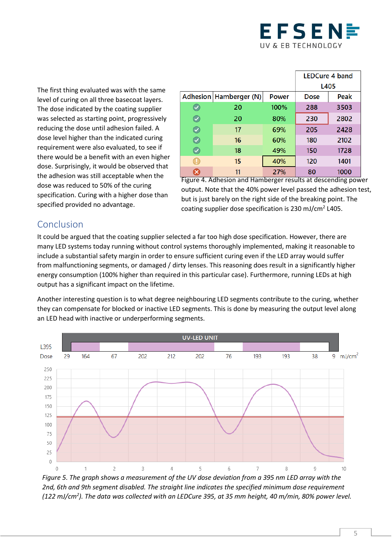

The first thing evaluated was with the same level of curing on all three basecoat layers. The dose indicated by the coating supplier was selected as starting point, progressively reducing the dose until adhesion failed. A dose level higher than the indicated curing requirement were also evaluated, to see if there would be a benefit with an even higher dose. Surprisingly, it would be observed that the adhesion was still acceptable when the dose was reduced to 50% of the curing specification. Curing with a higher dose than specified provided no advantage.

|            |                          |              | <b>LEDCure 4 band</b> |      |
|------------|--------------------------|--------------|-----------------------|------|
|            |                          |              | L405                  |      |
|            | Adhesion   Hamberger (N) | <b>Power</b> | Dose                  | Peak |
|            | 20                       | 100%         | 288                   | 3503 |
| $\bullet$  | 20                       | 80%          | 230                   | 2802 |
| $\bigcirc$ | 17                       | 69%          | 205                   | 2428 |
| V          | 16                       | 60%          | 180                   | 2102 |
| $\bullet$  | 18                       | 49%          | 150                   | 1728 |
| U.         | 15                       | 40%          | 120                   | 1401 |
| ×          | 11                       | 27%          | 80                    | 1000 |

Figure 4. Adhesion and Hamberger results at descending power output. Note that the 40% power level passed the adhesion test, but is just barely on the right side of the breaking point. The coating supplier dose specification is 230 mJ/cm<sup>2</sup> L405.

# <span id="page-5-0"></span>Conclusion

It could be argued that the coating supplier selected a far too high dose specification. However, there are many LED systems today running without control systems thoroughly implemented, making it reasonable to include a substantial safety margin in order to ensure sufficient curing even if the LED array would suffer from malfunctioning segments, or damaged / dirty lenses. This reasoning does result in a significantly higher energy consumption (100% higher than required in this particular case). Furthermore, running LEDs at high output has a significant impact on the lifetime.

Another interesting question is to what degree neighbouring LED segments contribute to the curing, whether they can compensate for blocked or inactive LED segments. This is done by measuring the output level along an LED head with inactive or underperforming segments.



*Figure 5. The graph shows a measurement of the UV dose deviation from a 395 nm LED array with the 2nd, 6th and 9th segment disabled. The straight line indicates the specified minimum dose requirement (122 mJ/cm<sup>2</sup> ). The data was collected with an LEDCure 395, at 35 mm height, 40 m/min, 80% power level.*